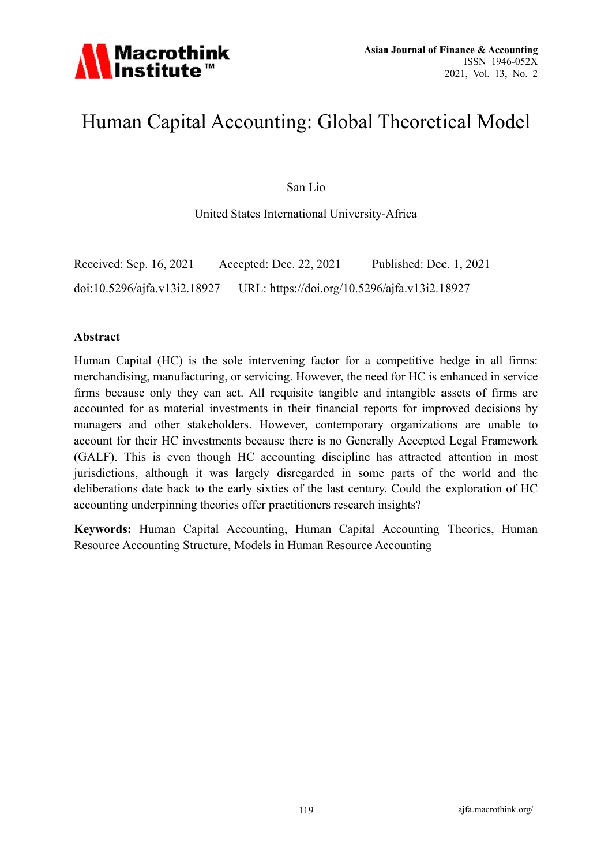

# Human Capital Accounting: Global Theoretical Model

San Lio

United States International University-Africa

| Received: Sep. 16, 2021      | Accepted: Dec. 22, 2021                       | Published: Dec. 1, 2021 |
|------------------------------|-----------------------------------------------|-------------------------|
| doi:10.5296/ajfa.v13i2.18927 | URL: https://doi.org/10.5296/ajfa.v13i2.18927 |                         |

#### **Abstract**

Human Capital (HC) is the sole intervening factor for a competitive hedge in all firms: merchandising, manufacturing, or servicing. However, the need for HC is enhanced in service firms because only they can act. All requisite tangible and intangible assets of firms are accounted for as material investments in their financial reports for improved decisions by managers and other stakeholders. However, contemporary organizations are unable to account for their HC investments because there is no Generally Accepted Legal Framework (GALF). This is even though HC accounting discipline has attracted attention in most jurisdictions, although it was largely disregarded in some parts of the world and the deliberations date back to the early sixties of the last century. Could the exploration of HC accounting underpinning theories offer practitioners research insights?

Keywords: Human Capital Accounting, Human Capital Accounting Theories, Human Resource Accounting Structure, Models in Human Resource Accounting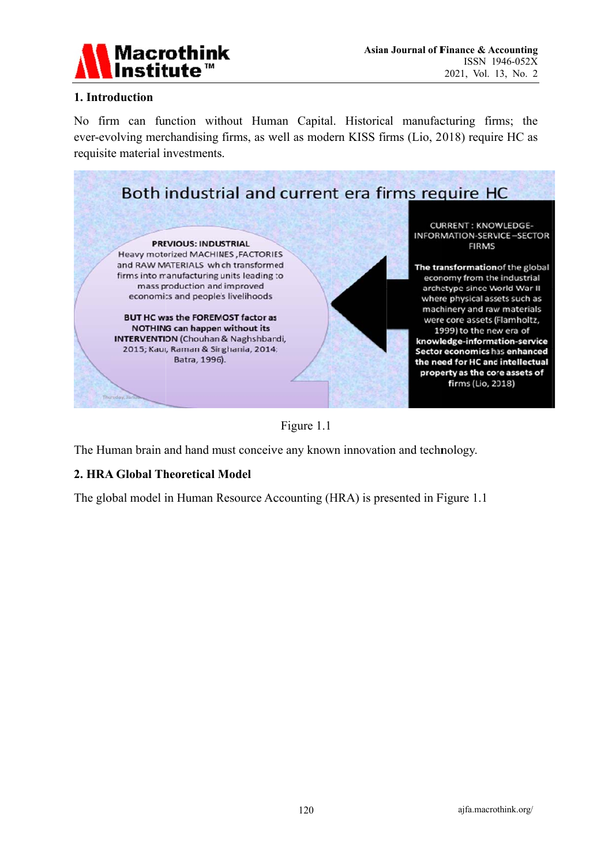

# 1. Introduction

No firm can function without Human Capital. Historical manufacturing firms; the ever-evolving merchandising firms, as well as modern KISS firms (Lio, 2018) require HC as requisite material investments.



Figure 1.1

The Human brain and hand must conceive any known innovation and technology.

# 2. HRA Global Theoretical Model

The global model in Human Resource Accounting (HRA) is presented in Figure 1.1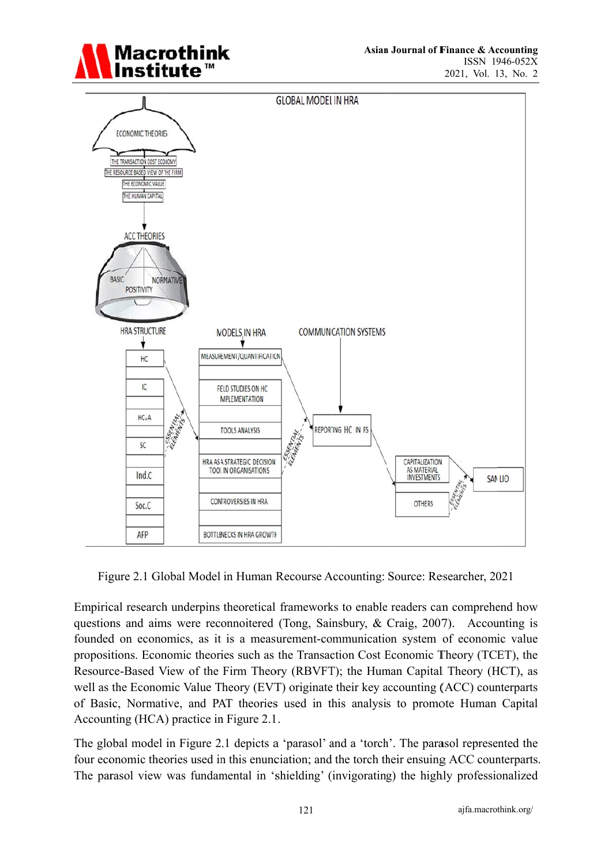



Figure 2.1 Global Model in Human Recourse Accounting: Source: Researcher, 2021

Empirical research underpins theoretical frameworks to enable readers can comprehend how questions and aims were reconnoitered (Tong, Sainsbury, & Craig, 2007). Accounting is founded on economics, as it is a measurement-communication system of economic value propositions. Economic theories such as the Transaction Cost Economic Theory (TCET), the Resource-Based View of the Firm Theory (RBVFT); the Human Capital Theory (HCT), as well as the Economic Value Theory (EVT) originate their key accounting (ACC) counterparts of Basic, Normative, and PAT theories used in this analysis to promote Human Capital Accounting (HCA) practice in Figure 2.1.

The global model in Figure 2.1 depicts a 'parasol' and a 'torch'. The parasol represented the four economic theories used in this enunciation; and the torch their ensuing ACC counterparts. The parasol view was fundamental in 'shielding' (invigorating) the highly professionalized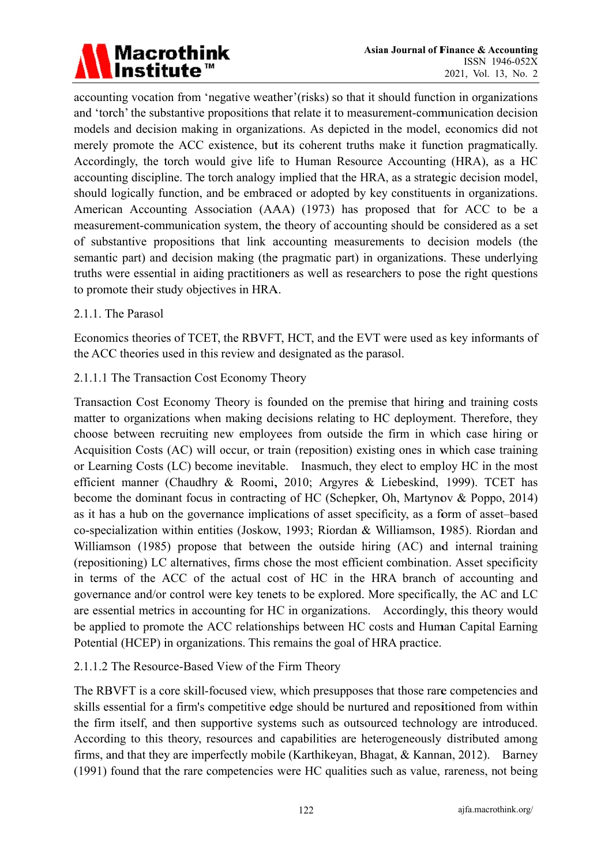accounting vocation from 'negative weather' (risks) so that it should function in organizations and 'torch' the substantive propositions that relate it to measurement-communication decision models and decision making in organizations. As depicted in the model, economics did not merely promote the ACC existence, but its coherent truths make it function pragmatically. Accordingly, the torch would give life to Human Resource Accounting (HRA), as a HC accounting discipline. The torch analogy implied that the HRA, as a strategic decision model, should logically function, and be embraced or adopted by key constituents in organizations. American Accounting Association (AAA) (1973) has proposed that for ACC to be a measurement-communication system, the theory of accounting should be considered as a set of substantive propositions that link accounting measurements to decision models (the semantic part) and decision making (the pragmatic part) in organizations. These underlying truths were essential in aiding practitioners as well as researchers to pose the right questions to promote their study objectives in HRA.

# 2.1.1. The Parasol

Economics theories of TCET, the RBVFT, HCT, and the EVT were used as key informants of the ACC theories used in this review and designated as the parasol.

# 2.1.1.1 The Transaction Cost Economy Theory

Transaction Cost Economy Theory is founded on the premise that hiring and training costs matter to organizations when making decisions relating to HC deployment. Therefore, they choose between recruiting new employees from outside the firm in which case hiring or Acquisition Costs (AC) will occur, or train (reposition) existing ones in which case training or Learning Costs (LC) become inevitable. Inasmuch, they elect to employ HC in the most efficient manner (Chaudhry & Roomi, 2010; Argyres & Liebeskind, 1999). TCET has become the dominant focus in contracting of HC (Schepker, Oh, Martynov & Poppo, 2014) as it has a hub on the governance implications of asset specificity, as a form of asset-based co-specialization within entities (Joskow, 1993; Riordan & Williamson, 1985). Riordan and Williamson (1985) propose that between the outside hiring (AC) and internal training (repositioning) LC alternatives, firms chose the most efficient combination. Asset specificity in terms of the ACC of the actual cost of HC in the HRA branch of accounting and governance and/or control were key tenets to be explored. More specifically, the AC and LC are essential metrics in accounting for HC in organizations. Accordingly, this theory would be applied to promote the ACC relationships between HC costs and Human Capital Earning Potential (HCEP) in organizations. This remains the goal of HRA practice.

# 2.1.1.2 The Resource-Based View of the Firm Theory

The RBVFT is a core skill-focused view, which presupposes that those rare competencies and skills essential for a firm's competitive edge should be nurtured and repositioned from within the firm itself, and then supportive systems such as outsourced technology are introduced. According to this theory, resources and capabilities are heterogeneously distributed among firms, and that they are imperfectly mobile (Karthikeyan, Bhagat, & Kannan, 2012). Barney (1991) found that the rare competencies were HC qualities such as value, rareness, not being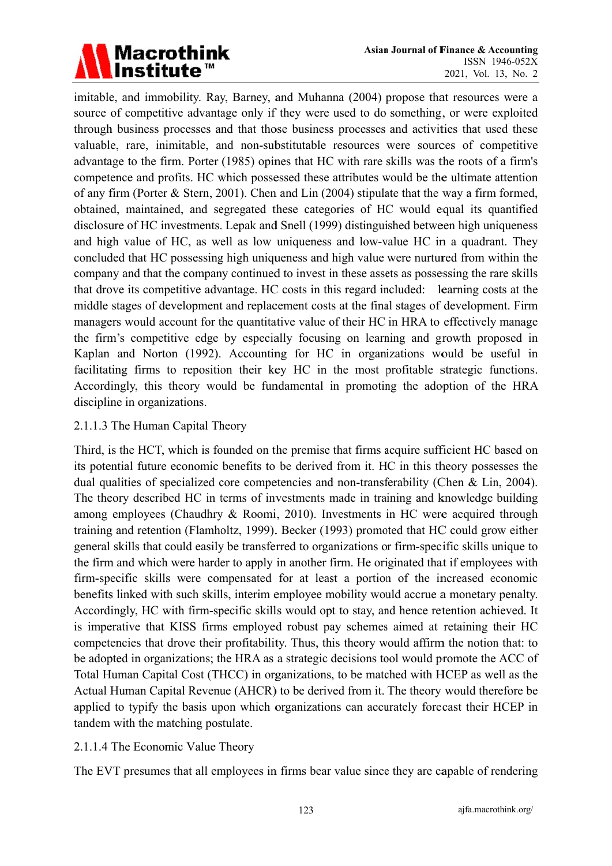imitable, and immobility. Ray, Barney, and Muhanna (2004) propose that resources were a source of competitive advantage only if they were used to do something, or were exploited through business processes and that those business processes and activities that used these valuable, rare, inimitable, and non-substitutable resources were sources of competitive advantage to the firm. Porter (1985) opines that HC with rare skills was the roots of a firm's competence and profits. HC which possessed these attributes would be the ultimate attention of any firm (Porter & Stern, 2001). Chen and Lin (2004) stipulate that the way a firm formed, obtained, maintained, and segregated these categories of HC would equal its quantified disclosure of HC investments. Lepak and Snell (1999) distinguished between high uniqueness and high value of HC, as well as low uniqueness and low-value HC in a quadrant. They concluded that HC possessing high uniqueness and high value were nurtured from within the company and that the company continued to invest in these assets as possessing the rare skills that drove its competitive advantage. HC costs in this regard included: learning costs at the middle stages of development and replacement costs at the final stages of development. Firm managers would account for the quantitative value of their HC in HRA to effectively manage the firm's competitive edge by especially focusing on learning and growth proposed in Kaplan and Norton (1992). Accounting for HC in organizations would be useful in facilitating firms to reposition their key HC in the most profitable strategic functions. Accordingly, this theory would be fundamental in promoting the adoption of the HRA discipline in organizations.

# 2.1.1.3 The Human Capital Theory

Third, is the HCT, which is founded on the premise that firms acquire sufficient HC based on its potential future economic benefits to be derived from it. HC in this theory possesses the dual qualities of specialized core competencies and non-transferability (Chen & Lin, 2004). The theory described HC in terms of investments made in training and knowledge building among employees (Chaudhry & Roomi, 2010). Investments in HC were acquired through training and retention (Flamholtz, 1999). Becker (1993) promoted that HC could grow either general skills that could easily be transferred to organizations or firm-specific skills unique to the firm and which were harder to apply in another firm. He originated that if employees with firm-specific skills were compensated for at least a portion of the increased economic benefits linked with such skills, interim employee mobility would accrue a monetary penalty. Accordingly, HC with firm-specific skills would opt to stay, and hence retention achieved. It is imperative that KISS firms employed robust pay schemes aimed at retaining their HC competencies that drove their profitability. Thus, this theory would affirm the notion that: to be adopted in organizations; the HRA as a strategic decisions tool would promote the ACC of Total Human Capital Cost (THCC) in organizations, to be matched with HCEP as well as the Actual Human Capital Revenue (AHCR) to be derived from it. The theory would therefore be applied to typify the basis upon which organizations can accurately forecast their HCEP in tandem with the matching postulate.

# 2.1.1.4 The Economic Value Theory

The EVT presumes that all employees in firms bear value since they are capable of rendering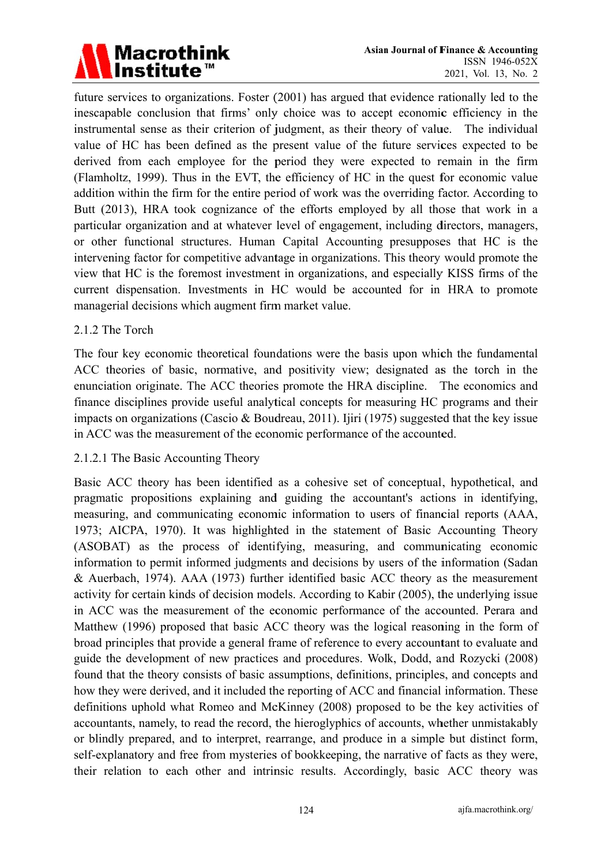future services to organizations. Foster (2001) has argued that evidence rationally led to the inescapable conclusion that firms' only choice was to accept economic efficiency in the instrumental sense as their criterion of judgment, as their theory of value. The individual value of HC has been defined as the present value of the future services expected to be derived from each employee for the period they were expected to remain in the firm (Flamholtz, 1999). Thus in the EVT, the efficiency of HC in the quest for economic value addition within the firm for the entire period of work was the overriding factor. According to Butt (2013), HRA took cognizance of the efforts employed by all those that work in a particular organization and at whatever level of engagement, including directors, managers, or other functional structures. Human Capital Accounting presupposes that HC is the intervening factor for competitive advantage in organizations. This theory would promote the view that HC is the foremost investment in organizations, and especially KISS firms of the current dispensation. Investments in HC would be accounted for in HRA to promote managerial decisions which augment firm market value.

# 2.1.2 The Torch

The four key economic theoretical foundations were the basis upon which the fundamental ACC theories of basic, normative, and positivity view; designated as the torch in the enunciation originate. The ACC theories promote the HRA discipline. The economics and finance disciplines provide useful analytical concepts for measuring HC programs and their impacts on organizations (Cascio & Boudreau, 2011). Ijiri (1975) suggested that the key issue in ACC was the measurement of the economic performance of the accounted.

# 2.1.2.1 The Basic Accounting Theory

Basic ACC theory has been identified as a cohesive set of conceptual, hypothetical, and pragmatic propositions explaining and guiding the accountant's actions in identifying, measuring, and communicating economic information to users of financial reports (AAA, 1973; AICPA, 1970). It was highlighted in the statement of Basic Accounting Theory (ASOBAT) as the process of identifying, measuring, and communicating economic information to permit informed judgments and decisions by users of the information (Sadan & Auerbach, 1974). AAA (1973) further identified basic ACC theory as the measurement activity for certain kinds of decision models. According to Kabir (2005), the underlying issue in ACC was the measurement of the economic performance of the accounted. Perara and Matthew (1996) proposed that basic ACC theory was the logical reasoning in the form of broad principles that provide a general frame of reference to every accountant to evaluate and guide the development of new practices and procedures. Wolk, Dodd, and Rozycki (2008) found that the theory consists of basic assumptions, definitions, principles, and concepts and how they were derived, and it included the reporting of ACC and financial information. These definitions uphold what Romeo and McKinney (2008) proposed to be the key activities of accountants, namely, to read the record, the hieroglyphics of accounts, whether unmistakably or blindly prepared, and to interpret, rearrange, and produce in a simple but distinct form, self-explanatory and free from mysteries of bookkeeping, the narrative of facts as they were, their relation to each other and intrinsic results. Accordingly, basic ACC theory was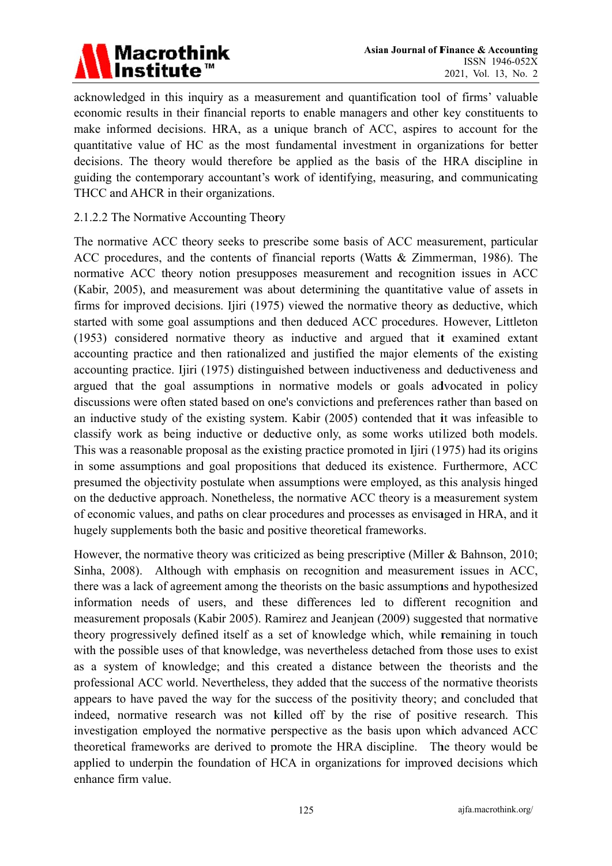

acknowledged in this inquiry as a measurement and quantification tool of firms' valuable economic results in their financial reports to enable managers and other key constituents to make informed decisions. HRA, as a unique branch of ACC, aspires to account for the quantitative value of HC as the most fundamental investment in organizations for better decisions. The theory would therefore be applied as the basis of the HRA discipline in guiding the contemporary accountant's work of identifying, measuring, and communicating THCC and AHCR in their organizations.

### 2.1.2.2 The Normative Accounting Theory

The normative ACC theory seeks to prescribe some basis of ACC measurement, particular ACC procedures, and the contents of financial reports (Watts & Zimmerman, 1986). The normative ACC theory notion presupposes measurement and recognition issues in ACC (Kabir, 2005), and measurement was about determining the quantitative value of assets in firms for improved decisions. Ijiri (1975) viewed the normative theory as deductive, which started with some goal assumptions and then deduced ACC procedures. However, Littleton (1953) considered normative theory as inductive and argued that it examined extant accounting practice and then rationalized and justified the major elements of the existing accounting practice. Ijiri (1975) distinguished between inductiveness and deductiveness and argued that the goal assumptions in normative models or goals advocated in policy discussions were often stated based on one's convictions and preferences rather than based on an inductive study of the existing system. Kabir (2005) contended that it was infeasible to classify work as being inductive or deductive only, as some works utilized both models. This was a reasonable proposal as the existing practice promoted in Ijiri (1975) had its origins in some assumptions and goal propositions that deduced its existence. Furthermore, ACC presumed the objectivity postulate when assumptions were employed, as this analysis hinged on the deductive approach. Nonetheless, the normative ACC theory is a measurement system of economic values, and paths on clear procedures and processes as envisaged in HRA, and it hugely supplements both the basic and positive theoretical frameworks.

However, the normative theory was criticized as being prescriptive (Miller & Bahnson, 2010; Sinha, 2008). Although with emphasis on recognition and measurement issues in ACC, there was a lack of agreement among the theorists on the basic assumptions and hypothesized information needs of users, and these differences led to different recognition and measurement proposals (Kabir 2005). Ramirez and Jeanjean (2009) suggested that normative theory progressively defined itself as a set of knowledge which, while remaining in touch with the possible uses of that knowledge, was nevertheless detached from those uses to exist as a system of knowledge; and this created a distance between the theorists and the professional ACC world. Nevertheless, they added that the success of the normative theorists appears to have paved the way for the success of the positivity theory; and concluded that indeed, normative research was not killed off by the rise of positive research. This investigation employed the normative perspective as the basis upon which advanced ACC theoretical frameworks are derived to promote the HRA discipline. The theory would be applied to underpin the foundation of HCA in organizations for improved decisions which enhance firm value.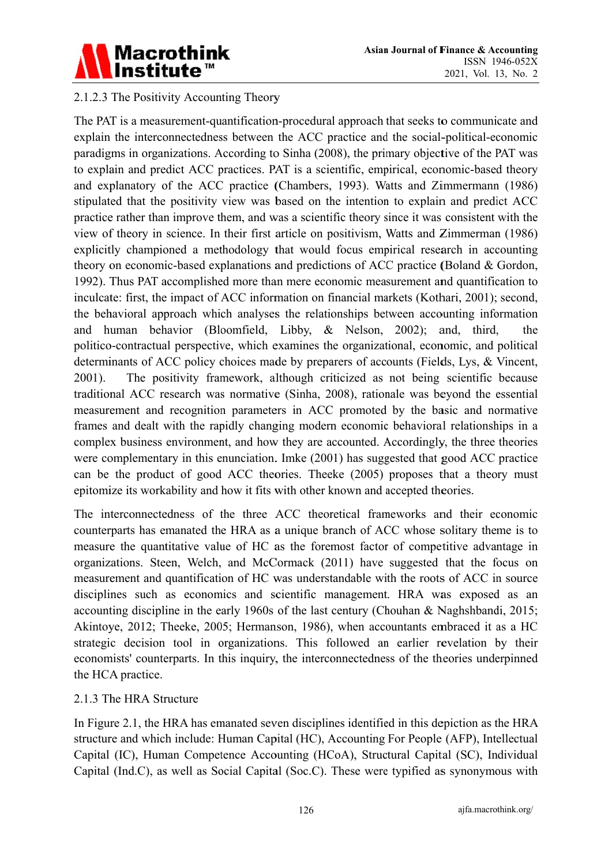

# 2.1.2.3 The Positivity Accounting Theory

The PAT is a measurement-quantification-procedural approach that seeks to communicate and explain the interconnectedness between the ACC practice and the social-political-economic paradigms in organizations. According to Sinha (2008), the primary objective of the PAT was to explain and predict ACC practices. PAT is a scientific, empirical, economic-based theory and explanatory of the ACC practice (Chambers, 1993). Watts and Zimmermann (1986) stipulated that the positivity view was based on the intention to explain and predict ACC practice rather than improve them, and was a scientific theory since it was consistent with the view of theory in science. In their first article on positivism, Watts and Zimmerman (1986) explicitly championed a methodology that would focus empirical research in accounting theory on economic-based explanations and predictions of ACC practice (Boland & Gordon, 1992). Thus PAT accomplished more than mere economic measurement and quantification to inculcate: first, the impact of ACC information on financial markets (Kothari, 2001); second, the behavioral approach which analyses the relationships between accounting information and human behavior (Bloomfield, Libby, & Nelson, 2002); and, third, the politico-contractual perspective, which examines the organizational, economic, and political determinants of ACC policy choices made by preparers of accounts (Fields, Lys, & Vincent, The positivity framework, although criticized as not being scientific because  $2001$ ). traditional ACC research was normative (Sinha, 2008), rationale was beyond the essential measurement and recognition parameters in ACC promoted by the basic and normative frames and dealt with the rapidly changing modern economic behavioral relationships in a complex business environment, and how they are accounted. Accordingly, the three theories were complementary in this enunciation. Imke (2001) has suggested that good ACC practice can be the product of good ACC theories. Theeke (2005) proposes that a theory must epitomize its workability and how it fits with other known and accepted theories.

The interconnectedness of the three ACC theoretical frameworks and their economic counterparts has emanated the HRA as a unique branch of ACC whose solitary theme is to measure the quantitative value of HC as the foremost factor of competitive advantage in organizations. Steen, Welch, and McCormack (2011) have suggested that the focus on measurement and quantification of HC was understandable with the roots of ACC in source disciplines such as economics and scientific management. HRA was exposed as an accounting discipline in the early 1960s of the last century (Chouhan & Naghshbandi, 2015; Akintoye, 2012; Theeke, 2005; Hermanson, 1986), when accountants embraced it as a HC strategic decision tool in organizations. This followed an earlier revelation by their economists' counterparts. In this inquiry, the interconnectedness of the theories underpinned the HCA practice.

# 2.1.3 The HRA Structure

In Figure 2.1, the HRA has emanated seven disciplines identified in this depiction as the HRA structure and which include: Human Capital (HC), Accounting For People (AFP), Intellectual Capital (IC), Human Competence Accounting (HCoA), Structural Capital (SC), Individual Capital (Ind.C), as well as Social Capital (Soc.C). These were typified as synonymous with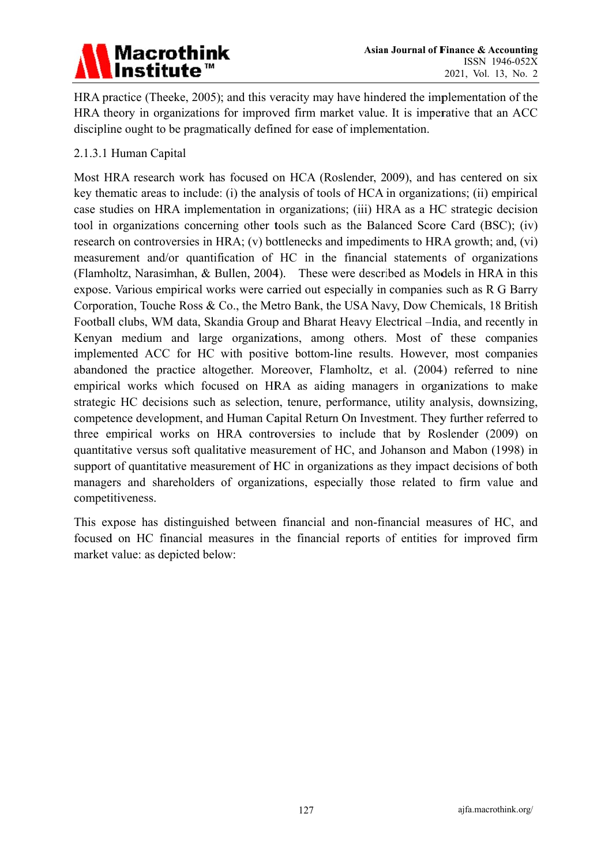HRA practice (Theeke, 2005); and this veracity may have hindered the implementation of the HRA theory in organizations for improved firm market value. It is imperative that an ACC discipline ought to be pragmatically defined for ease of implementation.

# 2.1.3.1 Human Capital

Most HRA research work has focused on HCA (Roslender, 2009), and has centered on six key thematic areas to include: (i) the analysis of tools of HCA in organizations; (ii) empirical case studies on HRA implementation in organizations; (iii) HRA as a HC strategic decision tool in organizations concerning other tools such as the Balanced Score Card (BSC); (iv) research on controversies in HRA; (v) bottlenecks and impediments to HRA growth; and, (vi) measurement and/or quantification of HC in the financial statements of organizations (Flamholtz, Narasimhan, & Bullen, 2004). These were described as Models in HRA in this expose. Various empirical works were carried out especially in companies such as R G Barry Corporation, Touche Ross & Co., the Metro Bank, the USA Navy, Dow Chemicals, 18 British Football clubs, WM data, Skandia Group and Bharat Heavy Electrical -India, and recently in Kenyan medium and large organizations, among others. Most of these companies implemented ACC for HC with positive bottom-line results. However, most companies abandoned the practice altogether. Moreover, Flamholtz, et al. (2004) referred to nine empirical works which focused on HRA as aiding managers in organizations to make strategic HC decisions such as selection, tenure, performance, utility analysis, downsizing, competence development, and Human Capital Return On Investment. They further referred to three empirical works on HRA controversies to include that by Roslender (2009) on quantitative versus soft qualitative measurement of HC, and Johanson and Mabon (1998) in support of quantitative measurement of HC in organizations as they impact decisions of both managers and shareholders of organizations, especially those related to firm value and competitiveness.

This expose has distinguished between financial and non-financial measures of HC, and focused on HC financial measures in the financial reports of entities for improved firm market value: as depicted below: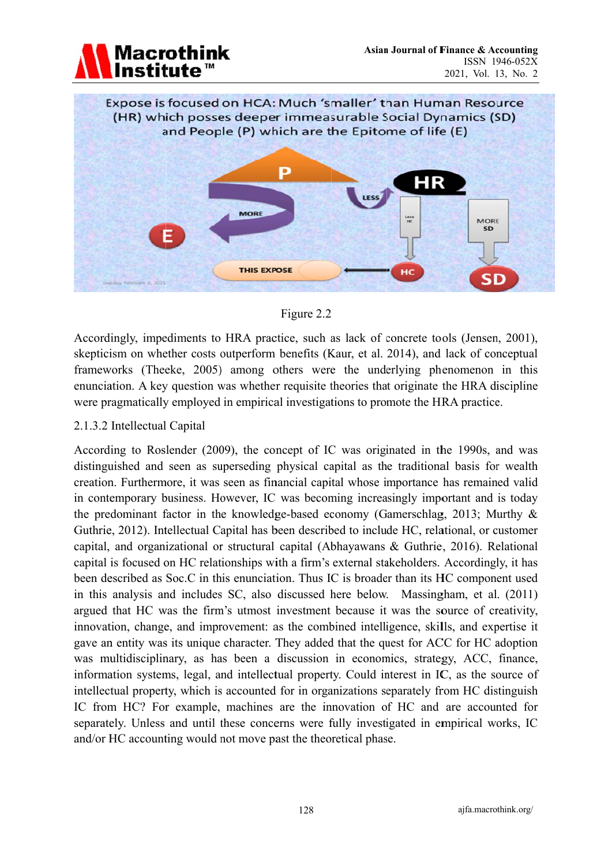





Accordingly, impediments to HRA practice, such as lack of concrete tools (Jensen, 2001), skepticism on whether costs outperform benefits (Kaur, et al. 2014), and lack of conceptual frameworks (Theeke, 2005) among others were the underlying phenomenon in this enunciation. A key question was whether requisite theories that originate the HRA discipline were pragmatically employed in empirical investigations to promote the HRA practice.

# 2.1.3.2 Intellectual Capital

According to Roslender (2009), the concept of IC was originated in the 1990s, and was distinguished and seen as superseding physical capital as the traditional basis for wealth creation. Furthermore, it was seen as financial capital whose importance has remained valid in contemporary business. However, IC was becoming increasingly important and is today the predominant factor in the knowledge-based economy (Gamerschlag, 2013; Murthy & Guthrie, 2012). Intellectual Capital has been described to include HC, relational, or customer capital, and organizational or structural capital (Abhayawans & Guthrie, 2016). Relational capital is focused on HC relationships with a firm's external stakeholders. Accordingly, it has been described as Soc.C in this enunciation. Thus IC is broader than its HC component used in this analysis and includes SC, also discussed here below. Massingham, et al. (2011) argued that HC was the firm's utmost investment because it was the source of creativity, innovation, change, and improvement: as the combined intelligence, skills, and expertise it gave an entity was its unique character. They added that the quest for ACC for HC adoption was multidisciplinary, as has been a discussion in economics, strategy, ACC, finance, information systems, legal, and intellectual property. Could interest in IC, as the source of intellectual property, which is accounted for in organizations separately from HC distinguish IC from HC? For example, machines are the innovation of HC and are accounted for separately. Unless and until these concerns were fully investigated in empirical works, IC and/or HC accounting would not move past the theoretical phase.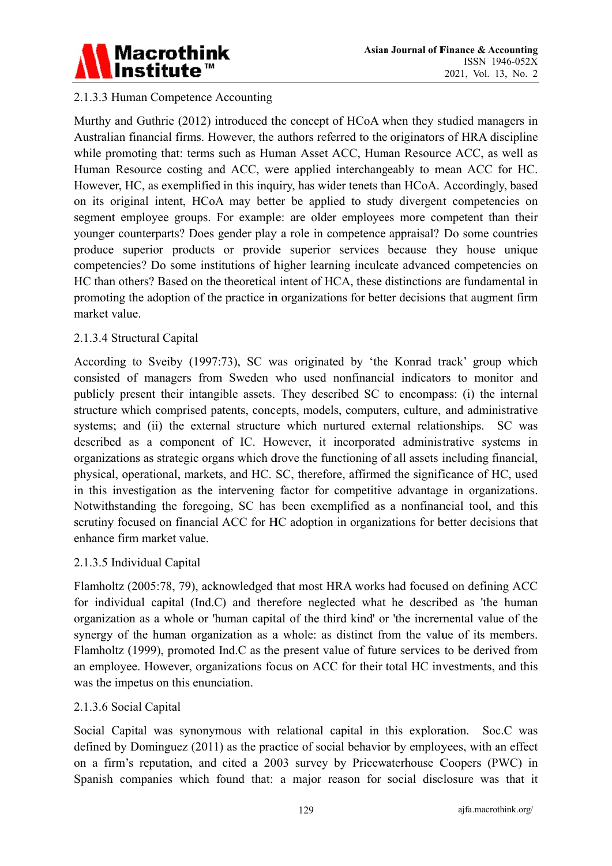

# 2.1.3.3 Human Competence Accounting

Murthy and Guthrie (2012) introduced the concept of HCoA when they studied managers in Australian financial firms. However, the authors referred to the originators of HRA discipline while promoting that: terms such as Human Asset ACC, Human Resource ACC, as well as Human Resource costing and ACC, were applied interchangeably to mean ACC for HC. However, HC, as exemplified in this inquiry, has wider tenets than HCoA. Accordingly, based on its original intent, HCoA may better be applied to study divergent competencies on segment employee groups. For example: are older employees more competent than their younger counterparts? Does gender play a role in competence appraisal? Do some countries produce superior products or provide superior services because they house unique competencies? Do some institutions of higher learning inculcate advanced competencies on HC than others? Based on the theoretical intent of HCA, these distinctions are fundamental in promoting the adoption of the practice in organizations for better decisions that augment firm market value.

# 2.1.3.4 Structural Capital

According to Sveiby (1997:73), SC was originated by 'the Konrad track' group which consisted of managers from Sweden who used nonfinancial indicators to monitor and publicly present their intangible assets. They described SC to encompass: (i) the internal structure which comprised patents, concepts, models, computers, culture, and administrative systems; and (ii) the external structure which nurtured external relationships. SC was described as a component of IC. However, it incorporated administrative systems in organizations as strategic organs which drove the functioning of all assets including financial. physical, operational, markets, and HC. SC, therefore, affirmed the significance of HC, used in this investigation as the intervening factor for competitive advantage in organizations. Notwithstanding the foregoing, SC has been exemplified as a nonfinancial tool, and this scrutiny focused on financial ACC for HC adoption in organizations for better decisions that enhance firm market value.

# 2.1.3.5 Individual Capital

Flamholtz (2005:78, 79), acknowledged that most HRA works had focused on defining ACC for individual capital (Ind.C) and therefore neglected what he described as 'the human organization as a whole or 'human capital of the third kind' or 'the incremental value of the synergy of the human organization as a whole: as distinct from the value of its members. Flamholtz (1999), promoted Ind.C as the present value of future services to be derived from an employee. However, organizations focus on ACC for their total HC investments, and this was the impetus on this enunciation.

#### 2.1.3.6 Social Capital

Social Capital was synonymous with relational capital in this exploration. Soc.C was defined by Dominguez (2011) as the practice of social behavior by employees, with an effect on a firm's reputation, and cited a 2003 survey by Pricewaterhouse Coopers (PWC) in Spanish companies which found that: a major reason for social disclosure was that it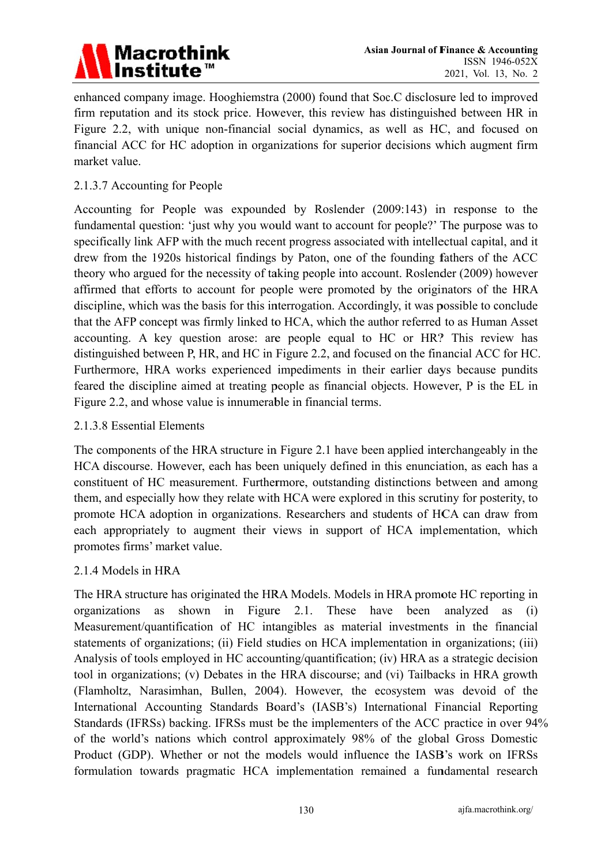

enhanced company image. Hooghiemstra (2000) found that Soc.C disclosure led to improved firm reputation and its stock price. However, this review has distinguished between HR in Figure 2.2, with unique non-financial social dynamics, as well as HC, and focused on financial ACC for HC adoption in organizations for superior decisions which augment firm market value.

# 2.1.3.7 Accounting for People

Accounting for People was expounded by Roslender (2009:143) in response to the fundamental question: 'just why you would want to account for people?' The purpose was to specifically link AFP with the much recent progress associated with intellectual capital, and it drew from the 1920s historical findings by Paton, one of the founding fathers of the ACC theory who argued for the necessity of taking people into account. Roslender (2009) however affirmed that efforts to account for people were promoted by the originators of the HRA discipline, which was the basis for this interrogation. Accordingly, it was possible to conclude that the AFP concept was firmly linked to HCA, which the author referred to as Human Asset accounting. A key question arose: are people equal to HC or HR? This review has distinguished between P, HR, and HC in Figure 2.2, and focused on the financial ACC for HC. Furthermore, HRA works experienced impediments in their earlier days because pundits feared the discipline aimed at treating people as financial objects. However, P is the EL in Figure 2.2, and whose value is innumerable in financial terms.

### 2.1.3.8 Essential Elements

The components of the HRA structure in Figure 2.1 have been applied interchangeably in the HCA discourse. However, each has been uniquely defined in this enunciation, as each has a constituent of HC measurement. Furthermore, outstanding distinctions between and among them, and especially how they relate with HCA were explored in this scrutiny for posterity, to promote HCA adoption in organizations. Researchers and students of HCA can draw from each appropriately to augment their views in support of HCA implementation, which promotes firms' market value.

#### 2.1.4 Models in HRA

The HRA structure has originated the HRA Models. Models in HRA promote HC reporting in as shown in Figure 2.1. These have been analyzed as organizations  $(i)$ Measurement/quantification of HC intangibles as material investments in the financial statements of organizations; (ii) Field studies on HCA implementation in organizations; (iii) Analysis of tools employed in HC accounting/quantification; (iv) HRA as a strategic decision tool in organizations; (v) Debates in the HRA discourse; and (vi) Tailbacks in HRA growth (Flamholtz, Narasimhan, Bullen, 2004). However, the ecosystem was devoid of the International Accounting Standards Board's (IASB's) International Financial Reporting Standards (IFRSs) backing. IFRSs must be the implementers of the ACC practice in over 94% of the world's nations which control approximately 98% of the global Gross Domestic Product (GDP). Whether or not the models would influence the IASB's work on IFRSs formulation towards pragmatic HCA implementation remained a fundamental research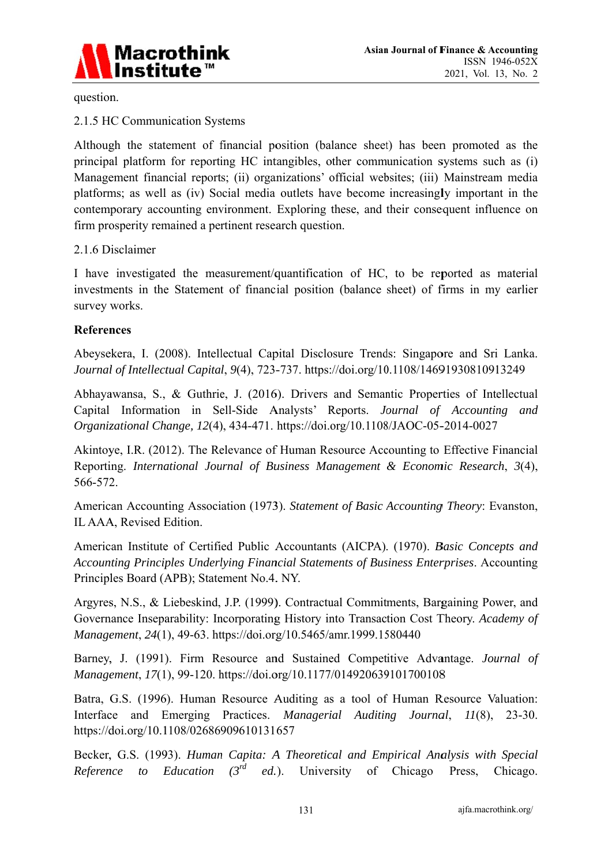

question.

### 2.1.5 HC Communication Systems

Although the statement of financial position (balance sheet) has been promoted as the principal platform for reporting HC intangibles, other communication systems such as (i) Management financial reports; (ii) organizations' official websites; (iii) Mainstream media platforms; as well as (iv) Social media outlets have become increasingly important in the contemporary accounting environment. Exploring these, and their consequent influence on firm prosperity remained a pertinent research question.

### 2.1.6 Disclaimer

I have investigated the measurement/quantification of HC, to be reported as material investments in the Statement of financial position (balance sheet) of firms in my earlier survey works.

### **References**

Abeysekera, I. (2008). Intellectual Capital Disclosure Trends: Singapore and Sri Lanka. Journal of Intellectual Capital, 9(4), 723-737. https://doi.org/10.1108/14691930810913249

Abhayawansa, S., & Guthrie, J. (2016). Drivers and Semantic Properties of Intellectual Capital Information in Sell-Side Analysts' Reports. Journal of Accounting and Organizational Change, 12(4), 434-471. https://doi.org/10.1108/JAOC-05-2014-0027

Akintove, I.R. (2012). The Relevance of Human Resource Accounting to Effective Financial Reporting. International Journal of Business Management & Economic Research, 3(4), 566-572.

American Accounting Association (1973). Statement of Basic Accounting Theory: Evanston, IL AAA, Revised Edition.

American Institute of Certified Public Accountants (AICPA). (1970). Basic Concepts and Accounting Principles Underlying Financial Statements of Business Enterprises. Accounting Principles Board (APB); Statement No.4. NY.

Argyres, N.S., & Liebeskind, J.P. (1999). Contractual Commitments, Bargaining Power, and Governance Inseparability: Incorporating History into Transaction Cost Theory. Academy of Management, 24(1), 49-63. https://doi.org/10.5465/amr.1999.1580440

Barney, J. (1991). Firm Resource and Sustained Competitive Advantage. Journal of Management, 17(1), 99-120. https://doi.org/10.1177/014920639101700108

Batra, G.S. (1996). Human Resource Auditing as a tool of Human Resource Valuation: Interface and Emerging Practices. Managerial Auditing Journal, 11(8), 23-30. https://doi.org/10.1108/02686909610131657

Becker, G.S. (1993). Human Capita: A Theoretical and Empirical Analysis with Special *Education*  $(3^{rd}$  *ed.*). University of Chicago Reference  $\mathfrak{c}$ Press, Chicago.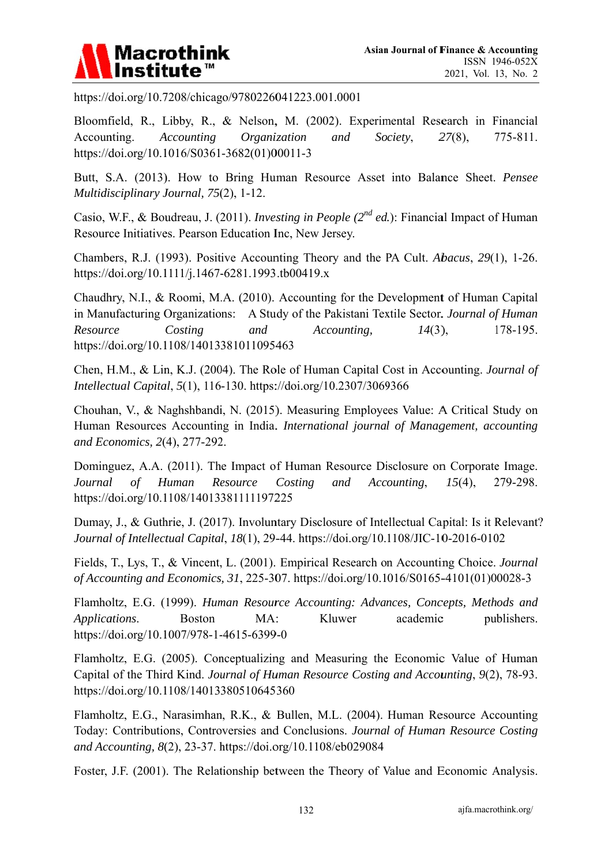

https://doi.org/10.7208/chicago/9780226041223.001.0001

Bloomfield, R., Libby, R., & Nelson, M. (2002). Experimental Research in Financial Accounting. **Accounting** Organization and  $27(8)$ , 775-811. Society, https://doi.org/10.1016/S0361-3682(01)00011-3

Butt, S.A. (2013). How to Bring Human Resource Asset into Balance Sheet. Pensee Multidisciplinary Journal, 75(2), 1-12.

Casio, W.F., & Boudreau, J. (2011). Investing in People (2<sup>nd</sup> ed.): Financial Impact of Human Resource Initiatives. Pearson Education Inc, New Jersey.

Chambers, R.J. (1993). Positive Accounting Theory and the PA Cult. Abacus, 29(1), 1-26. https://doi.org/10.1111/j.1467-6281.1993.tb00419.x

Chaudhry, N.I., & Roomi, M.A. (2010). Accounting for the Development of Human Capital in Manufacturing Organizations: A Study of the Pakistani Textile Sector. Journal of Human Resource Costing  $14(3)$ , 178-195. and Accounting, https://doi.org/10.1108/14013381011095463

Chen, H.M., & Lin, K.J. (2004). The Role of Human Capital Cost in Accounting. Journal of Intellectual Capital, 5(1), 116-130. https://doi.org/10.2307/3069366

Chouhan, V., & Naghshbandi, N. (2015). Measuring Employees Value: A Critical Study on Human Resources Accounting in India. International journal of Management, accounting and Economics, 2(4), 277-292.

Dominguez, A.A. (2011). The Impact of Human Resource Disclosure on Corporate Image. Journal  $\sigma f$ Human Resource Costing and Accounting,  $15(4)$ , 279-298. https://doi.org/10.1108/14013381111197225

Dumay, J., & Guthrie, J. (2017). Involuntary Disclosure of Intellectual Capital: Is it Relevant? Journal of Intellectual Capital, 18(1), 29-44. https://doi.org/10.1108/JIC-10-2016-0102

Fields, T., Lys, T., & Vincent, L. (2001). Empirical Research on Accounting Choice. Journal of Accounting and Economics, 31, 225-307. https://doi.org/10.1016/S0165-4101(01)00028-3

Flamholtz, E.G. (1999). Human Resource Accounting: Advances, Concepts, Methods and Applications. **Boston** Kluwer academic publishers.  $MA:$ https://doi.org/10.1007/978-1-4615-6399-0

Flamholtz, E.G. (2005). Conceptualizing and Measuring the Economic Value of Human Capital of the Third Kind. Journal of Human Resource Costing and Accounting, 9(2), 78-93. https://doi.org/10.1108/14013380510645360

Flamholtz, E.G., Narasimhan, R.K., & Bullen, M.L. (2004). Human Resource Accounting Today: Contributions, Controversies and Conclusions. Journal of Human Resource Costing and Accounting, 8(2), 23-37. https://doi.org/10.1108/eb029084

Foster, J.F. (2001). The Relationship between the Theory of Value and Economic Analysis.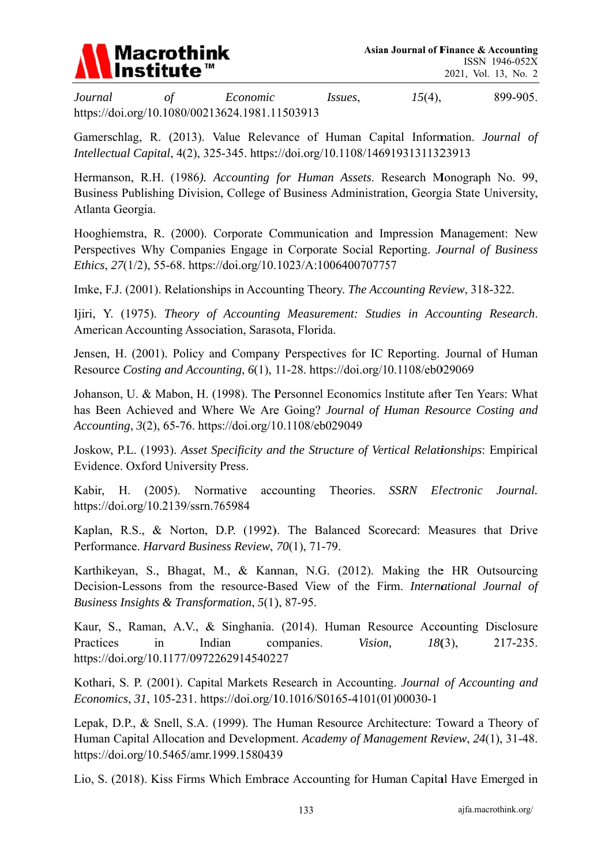

Journal  $\sigma f$ Economic  $15(4)$ , 899-905. Issues, https://doi.org/10.1080/00213624.1981.11503913

Gamerschlag, R. (2013). Value Relevance of Human Capital Information. Journal of Intellectual Capital, 4(2), 325-345. https://doi.org/10.1108/14691931311323913

Hermanson, R.H. (1986). Accounting for Human Assets. Research Monograph No. 99, Business Publishing Division, College of Business Administration, Georgia State University, Atlanta Georgia.

Hooghiemstra, R. (2000). Corporate Communication and Impression Management: New Perspectives Why Companies Engage in Corporate Social Reporting. Journal of Business *Ethics*, 27(1/2), 55-68. https://doi.org/10.1023/A:1006400707757

Imke, F.J. (2001). Relationships in Accounting Theory. The Accounting Review, 318-322.

Ijiri, Y. (1975). Theory of Accounting Measurement: Studies in Accounting Research. American Accounting Association, Sarasota, Florida.

Jensen, H. (2001). Policy and Company Perspectives for IC Reporting. Journal of Human Resource Costing and Accounting, 6(1), 11-28. https://doi.org/10.1108/eb029069

Johanson, U. & Mabon, H. (1998). The Personnel Economics Institute after Ten Years: What has Been Achieved and Where We Are Going? Journal of Human Resource Costing and Accounting, 3(2), 65-76. https://doi.org/10.1108/eb029049

Joskow, P.L. (1993). Asset Specificity and the Structure of Vertical Relationships: Empirical Evidence. Oxford University Press.

 $(2005)$ . Normative accounting Theories. Electronic Kabir. H. **SSRN** Journal. https://doi.org/10.2139/ssrn.765984

Kaplan, R.S., & Norton, D.P. (1992). The Balanced Scorecard: Measures that Drive Performance. Harvard Business Review, 70(1), 71-79.

Karthikeyan, S., Bhagat, M., & Kannan, N.G. (2012). Making the HR Outsourcing Decision-Lessons from the resource-Based View of the Firm. International Journal of Business Insights & Transformation, 5(1), 87-95.

Kaur, S., Raman, A.V., & Singhania. (2014). Human Resource Accounting Disclosure Practices Indian companies.  $in$ Vision,  $18(3)$ , 217-235. https://doi.org/10.1177/0972262914540227

Kothari, S. P. (2001). Capital Markets Research in Accounting. Journal of Accounting and Economics, 31, 105-231. https://doi.org/10.1016/S0165-4101(01)00030-1

Lepak, D.P., & Snell, S.A. (1999). The Human Resource Architecture: Toward a Theory of Human Capital Allocation and Development. Academy of Management Review, 24(1), 31-48. https://doi.org/10.5465/amr.1999.1580439

Lio, S. (2018). Kiss Firms Which Embrace Accounting for Human Capital Have Emerged in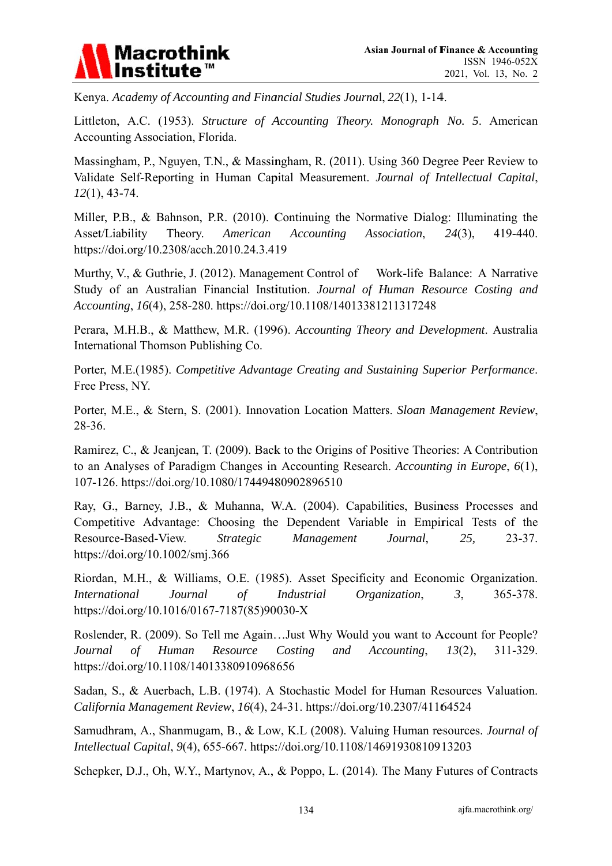

Kenya. Academy of Accounting and Financial Studies Journal, 22(1), 1-14.

Littleton, A.C. (1953). Structure of Accounting Theory. Monograph No. 5. American Accounting Association, Florida.

Massingham, P., Nguyen, T.N., & Massingham, R. (2011). Using 360 Degree Peer Review to Validate Self-Reporting in Human Capital Measurement. Journal of Intellectual Capital,  $12(1)$ , 43-74.

Miller, P.B., & Bahnson, P.R. (2010). Continuing the Normative Dialog: Illuminating the American Asset/Liability Theory. **Accounting** Association,  $24(3)$ ,  $419 - 440.$ https://doi.org/10.2308/acch.2010.24.3.419

Murthy, V., & Guthrie, J. (2012). Management Control of Work-life Balance: A Narrative Study of an Australian Financial Institution. Journal of Human Resource Costing and Accounting, 16(4), 258-280. https://doi.org/10.1108/14013381211317248

Perara, M.H.B., & Matthew, M.R. (1996). Accounting Theory and Development. Australia International Thomson Publishing Co.

Porter, M.E.(1985). Competitive Advantage Creating and Sustaining Superior Performance. Free Press, NY.

Porter, M.E., & Stern, S. (2001). Innovation Location Matters. Sloan Management Review,  $28-36.$ 

Ramirez, C., & Jeanjean, T. (2009). Back to the Origins of Positive Theories: A Contribution to an Analyses of Paradigm Changes in Accounting Research. Accounting in Europe, 6(1), 107-126. https://doi.org/10.1080/17449480902896510

Ray, G., Barney, J.B., & Muhanna, W.A. (2004). Capabilities, Business Processes and Competitive Advantage: Choosing the Dependent Variable in Empirical Tests of the Resource-Based-View. **Strategic** Management Journal. 25.  $23 - 37$ . https://doi.org/10.1002/smj.366

Riordan, M.H., & Williams, O.E. (1985). Asset Specificity and Economic Organization. *International* Journal **Industrial** Organization,  $3.$ 365-378.  $\sigma f$ https://doi.org/10.1016/0167-7187(85)90030-X

Roslender, R. (2009). So Tell me Again...Just Why Would you want to Account for People? Journal  $\sigma f$ Human Resource Costing and Accounting,  $13(2)$ , 311-329. https://doi.org/10.1108/14013380910968656

Sadan, S., & Auerbach, L.B. (1974). A Stochastic Model for Human Resources Valuation. California Management Review, 16(4), 24-31. https://doi.org/10.2307/41164524

Samudhram, A., Shanmugam, B., & Low, K.L (2008). Valuing Human resources. Journal of Intellectual Capital, 9(4), 655-667. https://doi.org/10.1108/14691930810913203

Schepker, D.J., Oh, W.Y., Martynov, A., & Poppo, L. (2014). The Many Futures of Contracts